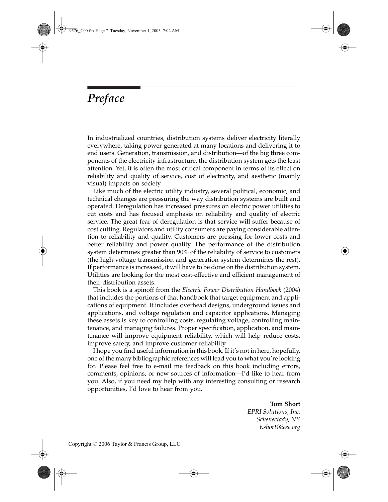## *Preface*

In industrialized countries, distribution systems deliver electricity literally everywhere, taking power generated at many locations and delivering it to end users. Generation, transmission, and distribution—of the big three components of the electricity infrastructure, the distribution system gets the least attention. Yet, it is often the most critical component in terms of its effect on reliability and quality of service, cost of electricity, and aesthetic (mainly visual) impacts on society.

Like much of the electric utility industry, several political, economic, and technical changes are pressuring the way distribution systems are built and operated. Deregulation has increased pressures on electric power utilities to cut costs and has focused emphasis on reliability and quality of electric service. The great fear of deregulation is that service will suffer because of cost cutting. Regulators and utility consumers are paying considerable attention to reliability and quality. Customers are pressing for lower costs and better reliability and power quality. The performance of the distribution system determines greater than 90% of the reliability of service to customers (the high-voltage transmission and generation system determines the rest). If performance is increased, it will have to be done on the distribution system. Utilities are looking for the most cost-effective and efficient management of their distribution assets.

This book is a spinoff from the *Electric Power Distribution Handbook* (2004) that includes the portions of that handbook that target equipment and applications of equipment. It includes overhead designs, underground issues and applications, and voltage regulation and capacitor applications. Managing these assets is key to controlling costs, regulating voltage, controlling maintenance, and managing failures. Proper specification, application, and maintenance will improve equipment reliability, which will help reduce costs, improve safety, and improve customer reliability.

I hope you find useful information in this book. If it's not in here, hopefully, one of the many bibliographic references will lead you to what you're looking for. Please feel free to e-mail me feedback on this book including errors, comments, opinions, or new sources of information—I'd like to hear from you. Also, if you need my help with any interesting consulting or research opportunities, I'd love to hear from you.

**Tom Short**

*EPRI Solutions, Inc. Schenectady, NY t.short@ieee.org*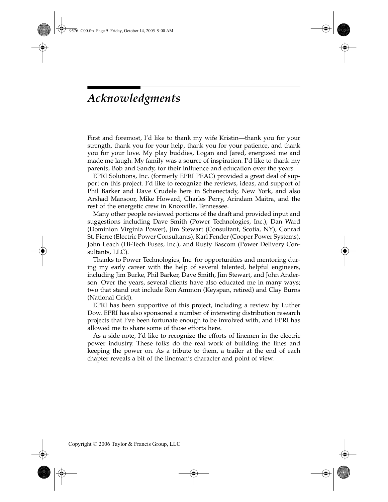## *Acknowledgments*

First and foremost, I'd like to thank my wife Kristin—thank you for your strength, thank you for your help, thank you for your patience, and thank you for your love. My play buddies, Logan and Jared, energized me and made me laugh. My family was a source of inspiration. I'd like to thank my parents, Bob and Sandy, for their influence and education over the years.

EPRI Solutions, Inc. (formerly EPRI PEAC) provided a great deal of support on this project. I'd like to recognize the reviews, ideas, and support of Phil Barker and Dave Crudele here in Schenectady, New York, and also Arshad Mansoor, Mike Howard, Charles Perry, Arindam Maitra, and the rest of the energetic crew in Knoxville, Tennessee.

Many other people reviewed portions of the draft and provided input and suggestions including Dave Smith (Power Technologies, Inc.), Dan Ward (Dominion Virginia Power), Jim Stewart (Consultant, Scotia, NY), Conrad St. Pierre (Electric Power Consultants), Karl Fender (Cooper Power Systems), John Leach (Hi-Tech Fuses, Inc.), and Rusty Bascom (Power Delivery Consultants, LLC).

Thanks to Power Technologies, Inc. for opportunities and mentoring during my early career with the help of several talented, helpful engineers, including Jim Burke, Phil Barker, Dave Smith, Jim Stewart, and John Anderson. Over the years, several clients have also educated me in many ways; two that stand out include Ron Ammon (Keyspan, retired) and Clay Burns (National Grid).

EPRI has been supportive of this project, including a review by Luther Dow. EPRI has also sponsored a number of interesting distribution research projects that I've been fortunate enough to be involved with, and EPRI has allowed me to share some of those efforts here.

As a side-note, I'd like to recognize the efforts of linemen in the electric power industry. These folks do the real work of building the lines and keeping the power on. As a tribute to them, a trailer at the end of each chapter reveals a bit of the lineman's character and point of view.